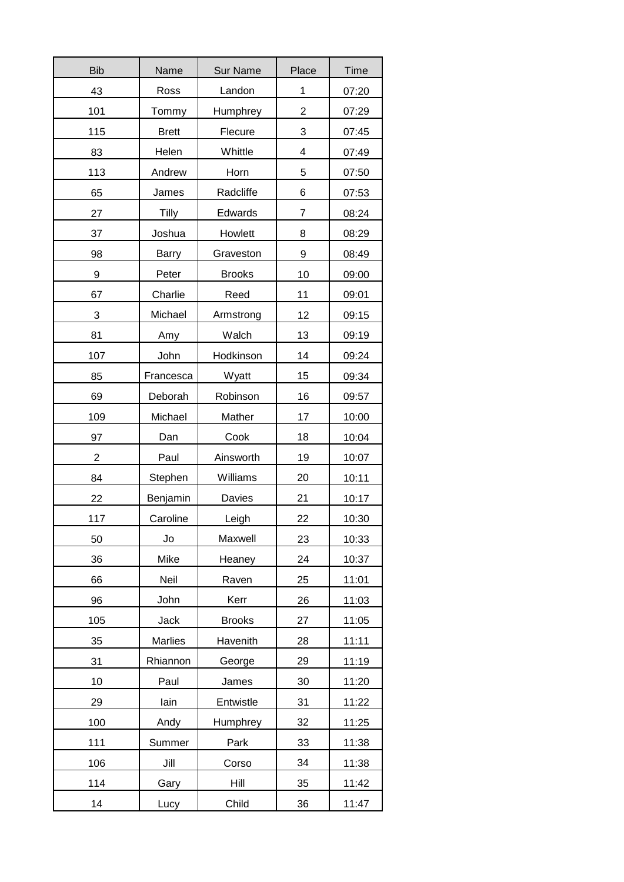| <b>Bib</b> | Name           | <b>Sur Name</b>                     | Place | <b>Time</b> |
|------------|----------------|-------------------------------------|-------|-------------|
| 43         | Ross           | Landon<br>1                         |       | 07:20       |
| 101        | Tommy          | $\overline{\mathbf{c}}$<br>Humphrey |       | 07:29       |
| 115        | <b>Brett</b>   | 3<br>Flecure                        |       | 07:45       |
| 83         | Helen          | Whittle                             | 4     | 07:49       |
| 113        | Andrew         | Horn                                | 5     | 07:50       |
| 65         | James          | Radcliffe                           | 6     | 07:53       |
| 27         | <b>Tilly</b>   | Edwards                             | 7     | 08:24       |
| 37         | Joshua         | Howlett                             | 8     | 08:29       |
| 98         | <b>Barry</b>   | Graveston                           | 9     | 08:49       |
| 9          | Peter          | <b>Brooks</b>                       | 10    | 09:00       |
| 67         | Charlie        | Reed                                | 11    | 09:01       |
| 3          | Michael        | Armstrong                           | 12    | 09:15       |
| 81         | Amy            | Walch                               | 13    | 09:19       |
| 107        | John           | Hodkinson                           | 14    | 09:24       |
| 85         | Francesca      | 15<br>Wyatt                         |       | 09:34       |
| 69         | Deborah        | 16<br>Robinson                      |       | 09:57       |
| 109        | Michael        | Mather                              | 17    | 10:00       |
| 97         | Dan            | Cook                                | 18    | 10:04       |
| 2          | Paul           | Ainsworth                           | 19    | 10:07       |
| 84         | Stephen        | Williams                            | 20    | 10:11       |
| 22         | Benjamin       | 21<br>Davies                        |       | 10:17       |
| 117        | Caroline       | 22<br>Leigh                         |       | 10:30       |
| 50         | Jo             | 23<br>Maxwell                       |       | 10:33       |
| 36         | Mike           | Heaney<br>24                        |       | 10:37       |
| 66         | Neil           | 25<br>Raven                         |       | 11:01       |
| 96         | John           | Kerr<br>26                          |       | 11:03       |
| 105        | Jack           | <b>Brooks</b>                       | 27    | 11:05       |
| 35         | <b>Marlies</b> | Havenith                            | 28    | 11:11       |
| 31         | Rhiannon       | George                              | 29    | 11:19       |
| 10         | Paul           | James                               | 30    | 11:20       |
| 29         | lain           | Entwistle                           | 31    | 11:22       |
| 100        | Andy           | Humphrey                            | 32    | 11:25       |
| 111        | Summer         | Park                                | 33    | 11:38       |
| 106        | Jill           | Corso                               | 34    | 11:38       |
| 114        | Gary           | Hill                                | 35    | 11:42       |
| 14         | Lucy           | Child                               | 36    | 11:47       |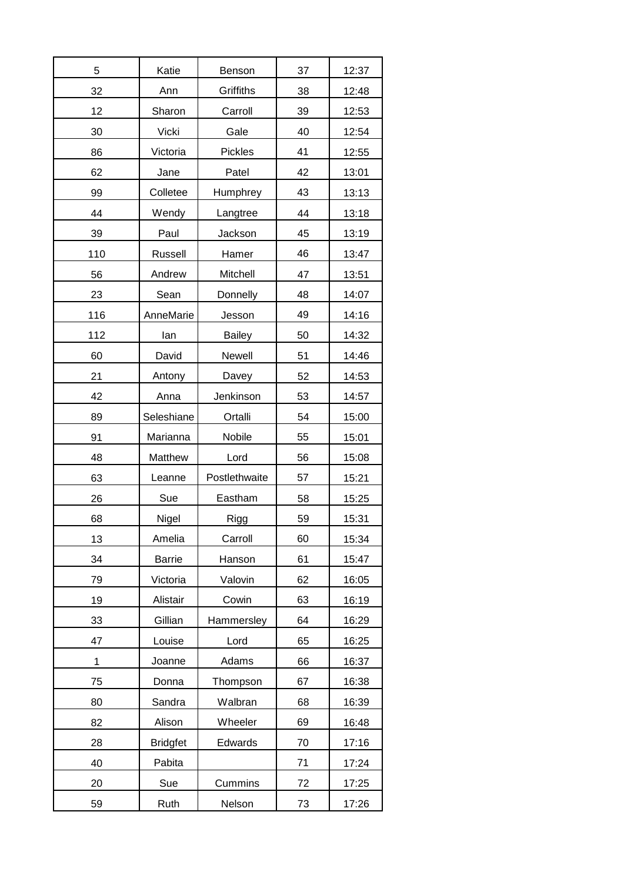| 5   | Katie           | Benson          | 37 | 12:37 |
|-----|-----------------|-----------------|----|-------|
| 32  | Ann             | Griffiths<br>38 |    | 12:48 |
| 12  | Sharon          | Carroll         | 39 | 12:53 |
| 30  | Vicki           | Gale<br>40      |    | 12:54 |
| 86  | Victoria        | Pickles         | 41 | 12:55 |
| 62  | Jane            | Patel           | 42 | 13:01 |
| 99  | Colletee        | Humphrey        | 43 | 13:13 |
| 44  | Wendy           | Langtree        | 44 | 13:18 |
| 39  | Paul            | Jackson         | 45 | 13:19 |
| 110 | <b>Russell</b>  | Hamer           | 46 | 13:47 |
| 56  | Andrew          | Mitchell        | 47 | 13:51 |
| 23  | Sean            | Donnelly        | 48 | 14:07 |
| 116 | AnneMarie       | Jesson          | 49 | 14:16 |
| 112 | lan             | <b>Bailey</b>   | 50 | 14:32 |
| 60  | David           | Newell          | 51 | 14:46 |
| 21  | Antony          | Davey           | 52 | 14:53 |
| 42  | Anna            | Jenkinson       | 53 | 14:57 |
| 89  | Seleshiane      | Ortalli         | 54 | 15:00 |
| 91  | Marianna        | Nobile          | 55 | 15:01 |
| 48  | Matthew         | Lord            | 56 | 15:08 |
| 63  | Leanne          | Postlethwaite   | 57 | 15:21 |
| 26  | Sue             | Eastham         | 58 | 15:25 |
| 68  | Nigel           | Rigg            | 59 | 15:31 |
| 13  | Amelia          | Carroll         | 60 | 15:34 |
| 34  | <b>Barrie</b>   | 61<br>Hanson    |    | 15:47 |
| 79  | Victoria        | Valovin         | 62 | 16:05 |
| 19  | Alistair        | Cowin           | 63 | 16:19 |
| 33  | Gillian         | Hammersley      | 64 | 16:29 |
| 47  | Louise          | Lord            | 65 | 16:25 |
| 1   | Joanne          | Adams           | 66 | 16:37 |
| 75  | Donna           | Thompson        | 67 | 16:38 |
| 80  | Sandra          | Walbran         | 68 | 16:39 |
| 82  | Alison          | Wheeler         | 69 | 16:48 |
| 28  | <b>Bridgfet</b> | Edwards         | 70 | 17:16 |
| 40  | Pabita          |                 | 71 | 17:24 |
| 20  | Sue             | Cummins         | 72 | 17:25 |
| 59  | Ruth            | Nelson          | 73 | 17:26 |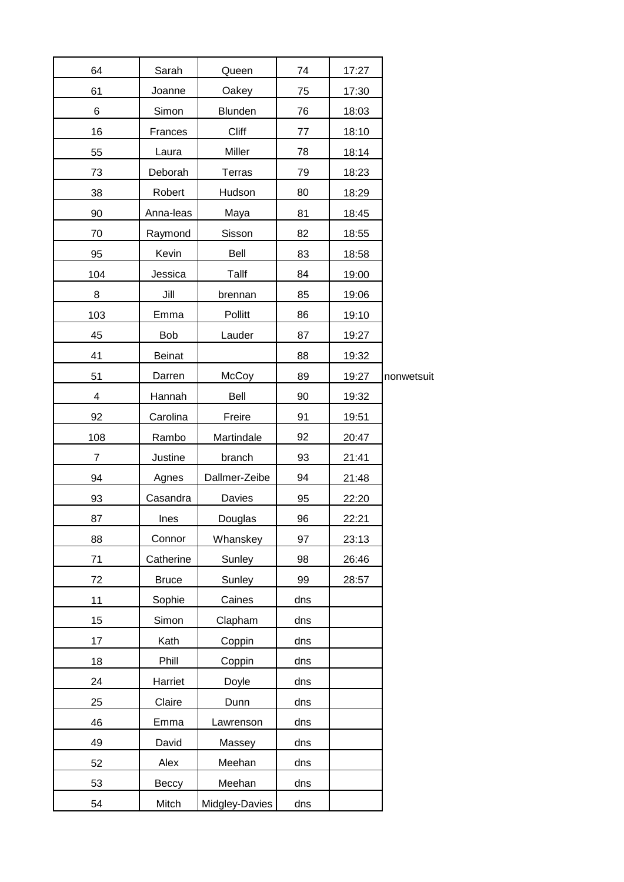| 64             | Sarah         | Queen          | 74  | 17:27 |            |
|----------------|---------------|----------------|-----|-------|------------|
| 61             | Joanne        | Oakey          | 75  | 17:30 |            |
| 6              | Simon         | Blunden        | 76  | 18:03 |            |
| 16             | Frances       | Cliff          | 77  | 18:10 |            |
| 55             | Laura         | Miller         | 78  | 18:14 |            |
| 73             | Deborah       | <b>Terras</b>  | 79  | 18:23 |            |
| 38             | Robert        | Hudson         | 80  | 18:29 |            |
| 90             | Anna-leas     | Maya           | 81  | 18:45 |            |
| 70             | Raymond       | Sisson         | 82  | 18:55 |            |
| 95             | Kevin         | Bell           | 83  | 18:58 |            |
| 104            | Jessica       | Tallf          | 84  | 19:00 |            |
| 8              | Jill          | brennan        | 85  | 19:06 |            |
| 103            | Emma          | Pollitt        | 86  | 19:10 |            |
| 45             | <b>Bob</b>    | Lauder         | 87  | 19:27 |            |
| 41             | <b>Beinat</b> |                | 88  | 19:32 |            |
| 51             | Darren        | McCoy          | 89  | 19:27 | nonwetsuit |
| 4              | Hannah        | Bell           | 90  | 19:32 |            |
| 92             | Carolina      | Freire         | 91  | 19:51 |            |
| 108            | Rambo         | Martindale     | 92  | 20:47 |            |
| $\overline{7}$ | Justine       | branch         | 93  | 21:41 |            |
| 94             | Agnes         | Dallmer-Zeibe  | 94  | 21:48 |            |
| 93             | Casandra      | Davies         | 95  | 22:20 |            |
| 87             | Ines          | Douglas        | 96  | 22:21 |            |
| 88             | Connor        | Whanskey       | 97  | 23:13 |            |
| 71             | Catherine     | Sunley         | 98  | 26:46 |            |
| 72             | <b>Bruce</b>  | Sunley         | 99  | 28:57 |            |
| 11             | Sophie        | Caines         | dns |       |            |
| 15             | Simon         | Clapham        | dns |       |            |
| 17             | Kath          | Coppin         | dns |       |            |
| 18             | Phill         | Coppin         | dns |       |            |
| 24             | Harriet       | Doyle          | dns |       |            |
| 25             | Claire        | Dunn           | dns |       |            |
| 46             | Emma          | Lawrenson      | dns |       |            |
| 49             | David         | Massey         | dns |       |            |
| 52             | Alex          | Meehan         | dns |       |            |
| 53             | Beccy         | Meehan         | dns |       |            |
| 54             | Mitch         | Midgley-Davies | dns |       |            |